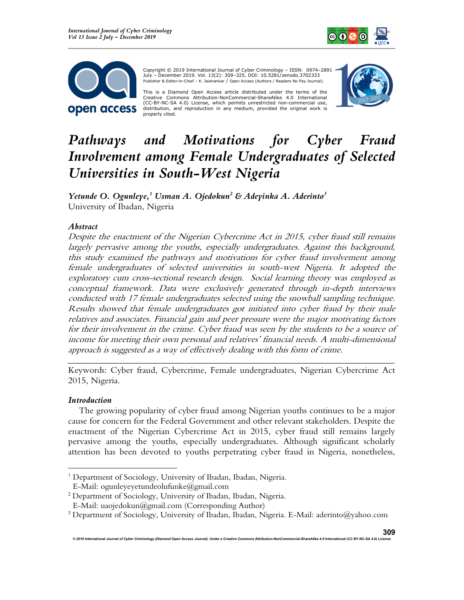



 Copyright © 2019 International Journal of Cyber Criminology – ISSN: 0974–2891 July – December 2019. Vol. 13(2): 309–325. DOI: 10.5281/zenodo.3702333 Publisher & Editor-in-Chief – K. Jaishankar / Open Access (Authors / Readers No Pay Journal).

This is a Diamond Open Access article distributed under the terms of the Creative Commons Attribution-NonCommercial-ShareAlike 4.0 International (CC-BY-NC-SA 4.0) License, which permits unrestricted non-commercial use, distribution, and reproduction in any medium, provided the original work is properly cited.



# Pathways and Motivations for Cyber Fraud Involvement among Female Undergraduates of Selected Universities in South-West Nigeria

Yetunde O. Ogunleye,<sup>1</sup> Usman A. Ojedokun<sup>2</sup> & Adeyinka A. Aderinto<sup>3</sup> University of Ibadan, Nigeria

## Abstract

Despite the enactment of the Nigerian Cybercrime Act in 2015, cyber fraud still remains largely pervasive among the youths, especially undergraduates. Against this background, this study examined the pathways and motivations for cyber fraud involvement among female undergraduates of selected universities in south-west Nigeria. It adopted the exploratory cum cross-sectional research design. Social learning theory was employed as conceptual framework. Data were exclusively generated through in-depth interviews conducted with 17 female undergraduates selected using the snowball sampling technique. Results showed that female undergraduates got initiated into cyber fraud by their male relatives and associates. Financial gain and peer pressure were the major motivating factors for their involvement in the crime. Cyber fraud was seen by the students to be a source of income for meeting their own personal and relatives' financial needs. A multi-dimensional approach is suggested as a way of effectively dealing with this form of crime.

\_\_\_\_\_\_\_\_\_\_\_\_\_\_\_\_\_\_\_\_\_\_\_\_\_\_\_\_\_\_\_\_\_\_\_\_\_\_\_\_\_\_\_\_\_\_\_\_\_\_\_\_\_\_\_\_\_\_\_\_\_\_\_\_\_\_\_\_\_\_\_\_ Keywords: Cyber fraud, Cybercrime, Female undergraduates, Nigerian Cybercrime Act 2015, Nigeria.

#### Introduction

The growing popularity of cyber fraud among Nigerian youths continues to be a major cause for concern for the Federal Government and other relevant stakeholders. Despite the enactment of the Nigerian Cybercrime Act in 2015, cyber fraud still remains largely pervasive among the youths, especially undergraduates. Although significant scholarly attention has been devoted to youths perpetrating cyber fraud in Nigeria, nonetheless,

<sup>&</sup>lt;sup>1</sup> Department of Sociology, University of Ibadan, Ibadan, Nigeria. E-Mail: ogunleyeyetundeolufunke@gmail.com

<sup>2</sup> Department of Sociology, University of Ibadan, Ibadan, Nigeria.

E-Mail: uaojedokun@gmail.com (Corresponding Author)

<sup>3</sup> Department of Sociology, University of Ibadan, Ibadan, Nigeria. E-Mail: aderinto@yahoo.com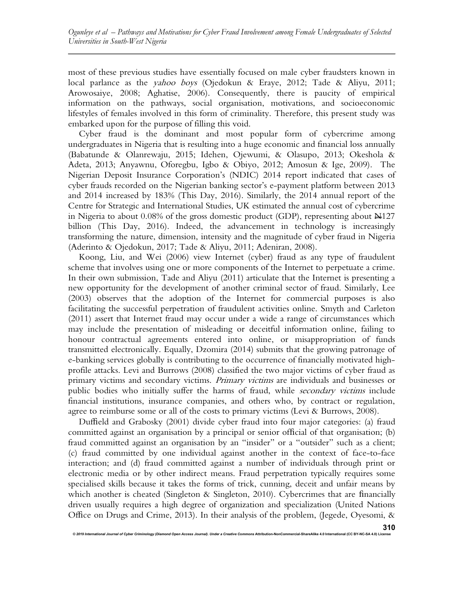most of these previous studies have essentially focused on male cyber fraudsters known in local parlance as the *yahoo boys* (Ojedokun & Eraye, 2012; Tade & Aliyu, 2011; Arowosaiye, 2008; Aghatise, 2006). Consequently, there is paucity of empirical information on the pathways, social organisation, motivations, and socioeconomic lifestyles of females involved in this form of criminality. Therefore, this present study was embarked upon for the purpose of filling this void.

Cyber fraud is the dominant and most popular form of cybercrime among undergraduates in Nigeria that is resulting into a huge economic and financial loss annually (Babatunde & Olanrewaju, 2015; Idehen, Ojewumi, & Olasupo, 2013; Okeshola & Adeta, 2013; Anyawnu, Oforegbu, Igbo & Obiyo, 2012; Amosun & Ige, 2009). The Nigerian Deposit Insurance Corporation's (NDIC) 2014 report indicated that cases of cyber frauds recorded on the Nigerian banking sector's e-payment platform between 2013 and 2014 increased by 183% (This Day, 2016). Similarly, the 2014 annual report of the Centre for Strategic and International Studies, UK estimated the annual cost of cybercrime in Nigeria to about  $0.08\%$  of the gross domestic product (GDP), representing about  $\mathbb{N}127$ billion (This Day, 2016). Indeed, the advancement in technology is increasingly transforming the nature, dimension, intensity and the magnitude of cyber fraud in Nigeria (Aderinto & Ojedokun, 2017; Tade & Aliyu, 2011; Adeniran, 2008).

Koong, Liu, and Wei (2006) view Internet (cyber) fraud as any type of fraudulent scheme that involves using one or more components of the Internet to perpetuate a crime. In their own submission, Tade and Aliyu (2011) articulate that the Internet is presenting a new opportunity for the development of another criminal sector of fraud. Similarly, Lee (2003) observes that the adoption of the Internet for commercial purposes is also facilitating the successful perpetration of fraudulent activities online. Smyth and Carleton (2011) assert that Internet fraud may occur under a wide a range of circumstances which may include the presentation of misleading or deceitful information online, failing to honour contractual agreements entered into online, or misappropriation of funds transmitted electronically. Equally, Dzomira (2014) submits that the growing patronage of e-banking services globally is contributing to the occurrence of financially motivated highprofile attacks. Levi and Burrows (2008) classified the two major victims of cyber fraud as primary victims and secondary victims. Primary victims are individuals and businesses or public bodies who initially suffer the harms of fraud, while secondary victims include financial institutions, insurance companies, and others who, by contract or regulation, agree to reimburse some or all of the costs to primary victims (Levi & Burrows, 2008).

Duffield and Grabosky (2001) divide cyber fraud into four major categories: (a) fraud committed against an organisation by a principal or senior official of that organisation; (b) fraud committed against an organisation by an "insider" or a "outsider" such as a client; (c) fraud committed by one individual against another in the context of face-to-face interaction; and (d) fraud committed against a number of individuals through print or electronic media or by other indirect means. Fraud perpetration typically requires some specialised skills because it takes the forms of trick, cunning, deceit and unfair means by which another is cheated (Singleton & Singleton, 2010). Cybercrimes that are financially driven usually requires a high degree of organization and specialization (United Nations Office on Drugs and Crime, 2013). In their analysis of the problem, (Jegede, Oyesomi, &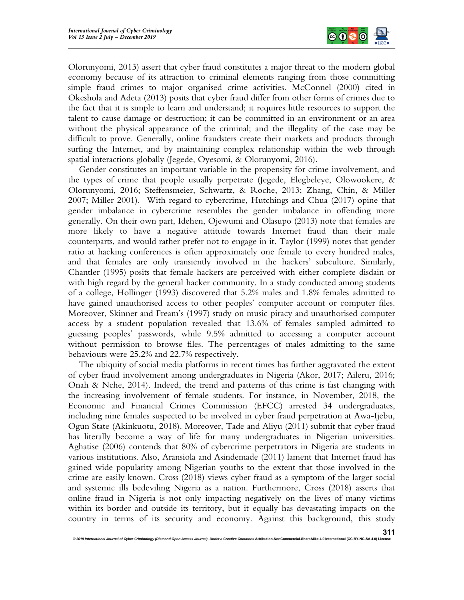

Olorunyomi, 2013) assert that cyber fraud constitutes a major threat to the modern global economy because of its attraction to criminal elements ranging from those committing simple fraud crimes to major organised crime activities. McConnel (2000) cited in Okeshola and Adeta (2013) posits that cyber fraud differ from other forms of crimes due to the fact that it is simple to learn and understand; it requires little resources to support the talent to cause damage or destruction; it can be committed in an environment or an area without the physical appearance of the criminal; and the illegality of the case may be difficult to prove. Generally, online fraudsters create their markets and products through surfing the Internet, and by maintaining complex relationship within the web through spatial interactions globally (Jegede, Oyesomi, & Olorunyomi, 2016).

Gender constitutes an important variable in the propensity for crime involvement, and the types of crime that people usually perpetrate (Jegede, Elegbeleye, Olowookere,  $\&$ Olorunyomi, 2016; Steffensmeier, Schwartz, & Roche, 2013; Zhang, Chin, & Miller 2007; Miller 2001). With regard to cybercrime, Hutchings and Chua (2017) opine that gender imbalance in cybercrime resembles the gender imbalance in offending more generally. On their own part, Idehen, Ojewumi and Olasupo (2013) note that females are more likely to have a negative attitude towards Internet fraud than their male counterparts, and would rather prefer not to engage in it. Taylor (1999) notes that gender ratio at hacking conferences is often approximately one female to every hundred males, and that females are only transiently involved in the hackers' subculture. Similarly, Chantler (1995) posits that female hackers are perceived with either complete disdain or with high regard by the general hacker community. In a study conducted among students of a college, Hollinger (1993) discovered that 5.2% males and 1.8% females admitted to have gained unauthorised access to other peoples' computer account or computer files. Moreover, Skinner and Fream's (1997) study on music piracy and unauthorised computer access by a student population revealed that 13.6% of females sampled admitted to guessing peoples' passwords, while 9.5% admitted to accessing a computer account without permission to browse files. The percentages of males admitting to the same behaviours were 25.2% and 22.7% respectively.

The ubiquity of social media platforms in recent times has further aggravated the extent of cyber fraud involvement among undergraduates in Nigeria (Akor, 2017; Aileru, 2016; Onah & Nche, 2014). Indeed, the trend and patterns of this crime is fast changing with the increasing involvement of female students. For instance, in November, 2018, the Economic and Financial Crimes Commission (EFCC) arrested 34 undergraduates, including nine females suspected to be involved in cyber fraud perpetration at Awa-Ijebu, Ogun State (Akinkuotu, 2018). Moreover, Tade and Aliyu (2011) submit that cyber fraud has literally become a way of life for many undergraduates in Nigerian universities. Aghatise (2006) contends that 80% of cybercrime perpetrators in Nigeria are students in various institutions. Also, Aransiola and Asindemade (2011) lament that Internet fraud has gained wide popularity among Nigerian youths to the extent that those involved in the crime are easily known. Cross (2018) views cyber fraud as a symptom of the larger social and systemic ills bedeviling Nigeria as a nation. Furthermore, Cross (2018) asserts that online fraud in Nigeria is not only impacting negatively on the lives of many victims within its border and outside its territory, but it equally has devastating impacts on the country in terms of its security and economy. Against this background, this study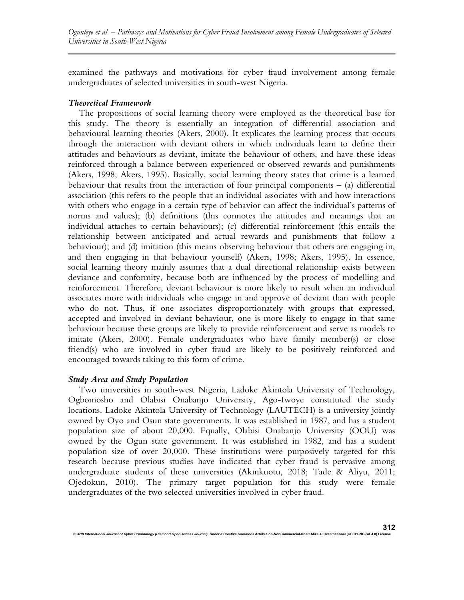examined the pathways and motivations for cyber fraud involvement among female undergraduates of selected universities in south-west Nigeria.

## Theoretical Framework

The propositions of social learning theory were employed as the theoretical base for this study. The theory is essentially an integration of differential association and behavioural learning theories (Akers, 2000). It explicates the learning process that occurs through the interaction with deviant others in which individuals learn to define their attitudes and behaviours as deviant, imitate the behaviour of others, and have these ideas reinforced through a balance between experienced or observed rewards and punishments (Akers, 1998; Akers, 1995). Basically, social learning theory states that crime is a learned behaviour that results from the interaction of four principal components  $-$  (a) differential association (this refers to the people that an individual associates with and how interactions with others who engage in a certain type of behavior can affect the individual's patterns of norms and values); (b) definitions (this connotes the attitudes and meanings that an individual attaches to certain behaviours); (c) differential reinforcement (this entails the relationship between anticipated and actual rewards and punishments that follow a behaviour); and (d) imitation (this means observing behaviour that others are engaging in, and then engaging in that behaviour yourself) (Akers, 1998; Akers, 1995). In essence, social learning theory mainly assumes that a dual directional relationship exists between deviance and conformity, because both are influenced by the process of modelling and reinforcement. Therefore, deviant behaviour is more likely to result when an individual associates more with individuals who engage in and approve of deviant than with people who do not. Thus, if one associates disproportionately with groups that expressed, accepted and involved in deviant behaviour, one is more likely to engage in that same behaviour because these groups are likely to provide reinforcement and serve as models to imitate (Akers, 2000). Female undergraduates who have family member(s) or close friend(s) who are involved in cyber fraud are likely to be positively reinforced and encouraged towards taking to this form of crime.

## Study Area and Study Population

Two universities in south-west Nigeria, Ladoke Akintola University of Technology, Ogbomosho and Olabisi Onabanjo University, Ago-Iwoye constituted the study locations. Ladoke Akintola University of Technology (LAUTECH) is a university jointly owned by Oyo and Osun state governments. It was established in 1987, and has a student population size of about 20,000. Equally, Olabisi Onabanjo University (OOU) was owned by the Ogun state government. It was established in 1982, and has a student population size of over 20,000. These institutions were purposively targeted for this research because previous studies have indicated that cyber fraud is pervasive among undergraduate students of these universities (Akinkuotu, 2018; Tade & Aliyu, 2011; Ojedokun, 2010). The primary target population for this study were female undergraduates of the two selected universities involved in cyber fraud.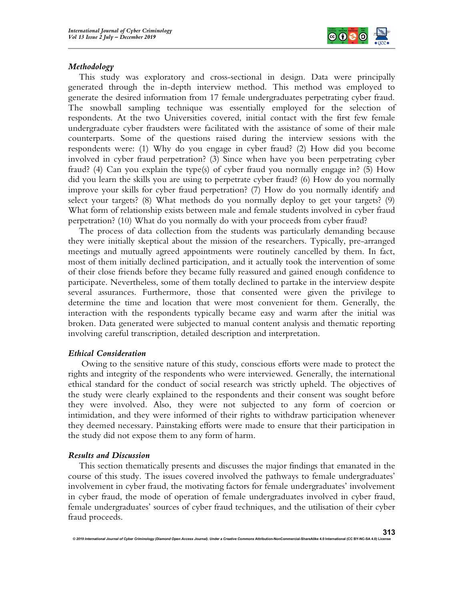

## Methodology

This study was exploratory and cross-sectional in design. Data were principally generated through the in-depth interview method. This method was employed to generate the desired information from 17 female undergraduates perpetrating cyber fraud. The snowball sampling technique was essentially employed for the selection of respondents. At the two Universities covered, initial contact with the first few female undergraduate cyber fraudsters were facilitated with the assistance of some of their male counterparts. Some of the questions raised during the interview sessions with the respondents were: (1) Why do you engage in cyber fraud? (2) How did you become involved in cyber fraud perpetration? (3) Since when have you been perpetrating cyber fraud? (4) Can you explain the type(s) of cyber fraud you normally engage in? (5) How did you learn the skills you are using to perpetrate cyber fraud? (6) How do you normally improve your skills for cyber fraud perpetration? (7) How do you normally identify and select your targets? (8) What methods do you normally deploy to get your targets? (9) What form of relationship exists between male and female students involved in cyber fraud perpetration? (10) What do you normally do with your proceeds from cyber fraud?

The process of data collection from the students was particularly demanding because they were initially skeptical about the mission of the researchers. Typically, pre-arranged meetings and mutually agreed appointments were routinely cancelled by them. In fact, most of them initially declined participation, and it actually took the intervention of some of their close friends before they became fully reassured and gained enough confidence to participate. Nevertheless, some of them totally declined to partake in the interview despite several assurances. Furthermore, those that consented were given the privilege to determine the time and location that were most convenient for them. Generally, the interaction with the respondents typically became easy and warm after the initial was broken. Data generated were subjected to manual content analysis and thematic reporting involving careful transcription, detailed description and interpretation.

## Ethical Consideration

 Owing to the sensitive nature of this study, conscious efforts were made to protect the rights and integrity of the respondents who were interviewed. Generally, the international ethical standard for the conduct of social research was strictly upheld. The objectives of the study were clearly explained to the respondents and their consent was sought before they were involved. Also, they were not subjected to any form of coercion or intimidation, and they were informed of their rights to withdraw participation whenever they deemed necessary. Painstaking efforts were made to ensure that their participation in the study did not expose them to any form of harm.

## Results and Discussion

This section thematically presents and discusses the major findings that emanated in the course of this study. The issues covered involved the pathways to female undergraduates' involvement in cyber fraud, the motivating factors for female undergraduates' involvement in cyber fraud, the mode of operation of female undergraduates involved in cyber fraud, female undergraduates' sources of cyber fraud techniques, and the utilisation of their cyber fraud proceeds.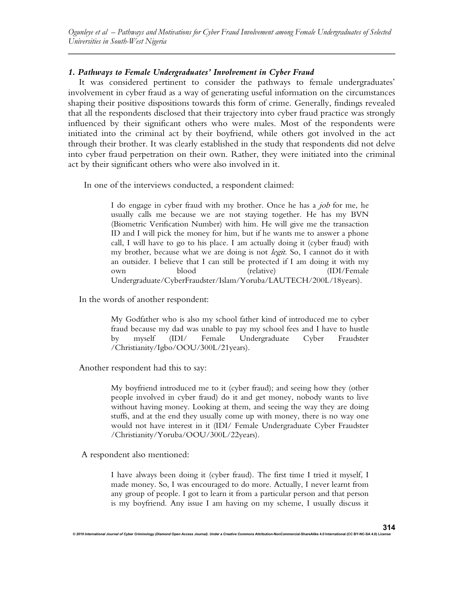## 1. Pathways to Female Undergraduates' Involvement in Cyber Fraud

It was considered pertinent to consider the pathways to female undergraduates' involvement in cyber fraud as a way of generating useful information on the circumstances shaping their positive dispositions towards this form of crime. Generally, findings revealed that all the respondents disclosed that their trajectory into cyber fraud practice was strongly influenced by their significant others who were males. Most of the respondents were initiated into the criminal act by their boyfriend, while others got involved in the act through their brother. It was clearly established in the study that respondents did not delve into cyber fraud perpetration on their own. Rather, they were initiated into the criminal act by their significant others who were also involved in it.

In one of the interviews conducted, a respondent claimed:

I do engage in cyber fraud with my brother. Once he has a job for me, he usually calls me because we are not staying together. He has my BVN (Biometric Verification Number) with him. He will give me the transaction ID and I will pick the money for him, but if he wants me to answer a phone call, I will have to go to his place. I am actually doing it (cyber fraud) with my brother, because what we are doing is not *legit*. So, I cannot do it with an outsider. I believe that I can still be protected if I am doing it with my own blood (relative) (IDI/Female Undergraduate/CyberFraudster/Islam/Yoruba/LAUTECH/200L/18years).

In the words of another respondent:

My Godfather who is also my school father kind of introduced me to cyber fraud because my dad was unable to pay my school fees and I have to hustle by myself (IDI/ Female Undergraduate Cyber Fraudster /Christianity/Igbo/OOU/300L/21years).

Another respondent had this to say:

My boyfriend introduced me to it (cyber fraud); and seeing how they (other people involved in cyber fraud) do it and get money, nobody wants to live without having money. Looking at them, and seeing the way they are doing stuffs, and at the end they usually come up with money, there is no way one would not have interest in it (IDI/ Female Undergraduate Cyber Fraudster /Christianity/Yoruba/OOU/300L/22years).

A respondent also mentioned:

I have always been doing it (cyber fraud). The first time I tried it myself, I made money. So, I was encouraged to do more. Actually, I never learnt from any group of people. I got to learn it from a particular person and that person is my boyfriend. Any issue I am having on my scheme, I usually discuss it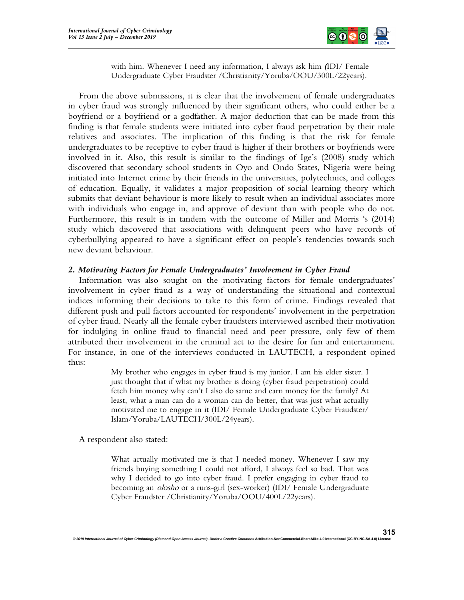

with him. Whenever I need any information, I always ask him (IDI/ Female Undergraduate Cyber Fraudster /Christianity/Yoruba/OOU/300L/22years).

From the above submissions, it is clear that the involvement of female undergraduates in cyber fraud was strongly influenced by their significant others, who could either be a boyfriend or a boyfriend or a godfather. A major deduction that can be made from this finding is that female students were initiated into cyber fraud perpetration by their male relatives and associates. The implication of this finding is that the risk for female undergraduates to be receptive to cyber fraud is higher if their brothers or boyfriends were involved in it. Also, this result is similar to the findings of Ige's (2008) study which discovered that secondary school students in Oyo and Ondo States, Nigeria were being initiated into Internet crime by their friends in the universities, polytechnics, and colleges of education. Equally, it validates a major proposition of social learning theory which submits that deviant behaviour is more likely to result when an individual associates more with individuals who engage in, and approve of deviant than with people who do not. Furthermore, this result is in tandem with the outcome of Miller and Morris 's (2014) study which discovered that associations with delinquent peers who have records of cyberbullying appeared to have a significant effect on people's tendencies towards such new deviant behaviour.

## 2. Motivating Factors for Female Undergraduates' Involvement in Cyber Fraud

Information was also sought on the motivating factors for female undergraduates' involvement in cyber fraud as a way of understanding the situational and contextual indices informing their decisions to take to this form of crime. Findings revealed that different push and pull factors accounted for respondents' involvement in the perpetration of cyber fraud. Nearly all the female cyber fraudsters interviewed ascribed their motivation for indulging in online fraud to financial need and peer pressure, only few of them attributed their involvement in the criminal act to the desire for fun and entertainment. For instance, in one of the interviews conducted in LAUTECH, a respondent opined thus:

> My brother who engages in cyber fraud is my junior. I am his elder sister. I just thought that if what my brother is doing (cyber fraud perpetration) could fetch him money why can't I also do same and earn money for the family? At least, what a man can do a woman can do better, that was just what actually motivated me to engage in it (IDI/ Female Undergraduate Cyber Fraudster/ Islam/Yoruba/LAUTECH/300L/24years).

A respondent also stated:

What actually motivated me is that I needed money. Whenever I saw my friends buying something I could not afford, I always feel so bad. That was why I decided to go into cyber fraud. I prefer engaging in cyber fraud to becoming an *olosho* or a runs-girl (sex-worker) (IDI/ Female Undergraduate Cyber Fraudster /Christianity/Yoruba/OOU/400L/22years).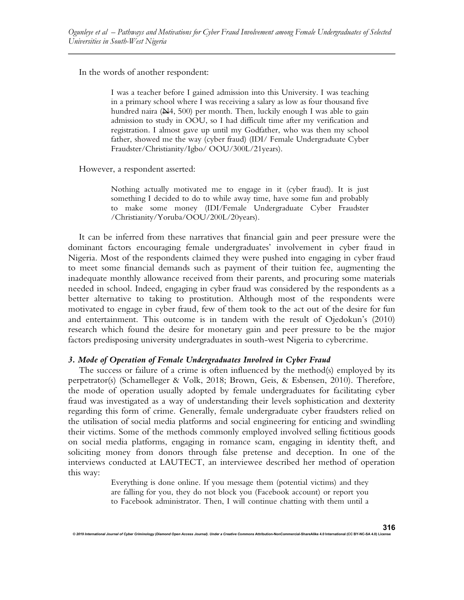In the words of another respondent:

I was a teacher before I gained admission into this University. I was teaching in a primary school where I was receiving a salary as low as four thousand five hundred naira  $(\frac{N}{4}, 500)$  per month. Then, luckily enough I was able to gain admission to study in OOU, so I had difficult time after my verification and registration. I almost gave up until my Godfather, who was then my school father, showed me the way (cyber fraud) (IDI/ Female Undergraduate Cyber Fraudster/Christianity/Igbo/ OOU/300L/21years).

However, a respondent asserted:

Nothing actually motivated me to engage in it (cyber fraud). It is just something I decided to do to while away time, have some fun and probably to make some money (IDI/Female Undergraduate Cyber Fraudster /Christianity/Yoruba/OOU/200L/20years).

It can be inferred from these narratives that financial gain and peer pressure were the dominant factors encouraging female undergraduates' involvement in cyber fraud in Nigeria. Most of the respondents claimed they were pushed into engaging in cyber fraud to meet some financial demands such as payment of their tuition fee, augmenting the inadequate monthly allowance received from their parents, and procuring some materials needed in school. Indeed, engaging in cyber fraud was considered by the respondents as a better alternative to taking to prostitution. Although most of the respondents were motivated to engage in cyber fraud, few of them took to the act out of the desire for fun and entertainment. This outcome is in tandem with the result of Ojedokun's (2010) research which found the desire for monetary gain and peer pressure to be the major factors predisposing university undergraduates in south-west Nigeria to cybercrime.

## 3. Mode of Operation of Female Undergraduates Involved in Cyber Fraud

The success or failure of a crime is often influenced by the method(s) employed by its perpetrator(s) (Schamelleger & Volk, 2018; Brown, Geis, & Esbensen, 2010). Therefore, the mode of operation usually adopted by female undergraduates for facilitating cyber fraud was investigated as a way of understanding their levels sophistication and dexterity regarding this form of crime. Generally, female undergraduate cyber fraudsters relied on the utilisation of social media platforms and social engineering for enticing and swindling their victims. Some of the methods commonly employed involved selling fictitious goods on social media platforms, engaging in romance scam, engaging in identity theft, and soliciting money from donors through false pretense and deception. In one of the interviews conducted at LAUTECT, an interviewee described her method of operation this way:

> Everything is done online. If you message them (potential victims) and they are falling for you, they do not block you (Facebook account) or report you to Facebook administrator. Then, I will continue chatting with them until a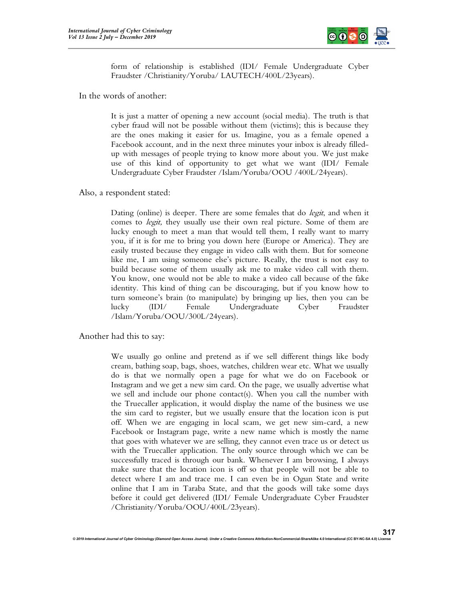

317

form of relationship is established (IDI/ Female Undergraduate Cyber Fraudster /Christianity/Yoruba/ LAUTECH/400L/23years).

In the words of another:

It is just a matter of opening a new account (social media). The truth is that cyber fraud will not be possible without them (victims); this is because they are the ones making it easier for us. Imagine, you as a female opened a Facebook account, and in the next three minutes your inbox is already filledup with messages of people trying to know more about you. We just make use of this kind of opportunity to get what we want (IDI/ Female Undergraduate Cyber Fraudster /Islam/Yoruba/OOU /400L/24years).

Also, a respondent stated:

Dating (online) is deeper. There are some females that do *legit*, and when it comes to *legit*, they usually use their own real picture. Some of them are lucky enough to meet a man that would tell them, I really want to marry you, if it is for me to bring you down here (Europe or America). They are easily trusted because they engage in video calls with them. But for someone like me, I am using someone else's picture. Really, the trust is not easy to build because some of them usually ask me to make video call with them. You know, one would not be able to make a video call because of the fake identity. This kind of thing can be discouraging, but if you know how to turn someone's brain (to manipulate) by bringing up lies, then you can be lucky (IDI/ Female Undergraduate Cyber Fraudster /Islam/Yoruba/OOU/300L/24years).

Another had this to say:

We usually go online and pretend as if we sell different things like body cream, bathing soap, bags, shoes, watches, children wear etc. What we usually do is that we normally open a page for what we do on Facebook or Instagram and we get a new sim card. On the page, we usually advertise what we sell and include our phone contact(s). When you call the number with the Truecaller application, it would display the name of the business we use the sim card to register, but we usually ensure that the location icon is put off. When we are engaging in local scam, we get new sim-card, a new Facebook or Instagram page, write a new name which is mostly the name that goes with whatever we are selling, they cannot even trace us or detect us with the Truecaller application. The only source through which we can be successfully traced is through our bank. Whenever I am browsing, I always make sure that the location icon is off so that people will not be able to detect where I am and trace me. I can even be in Ogun State and write online that I am in Taraba State, and that the goods will take some days before it could get delivered (IDI/ Female Undergraduate Cyber Fraudster /Christianity/Yoruba/OOU/400L/23years).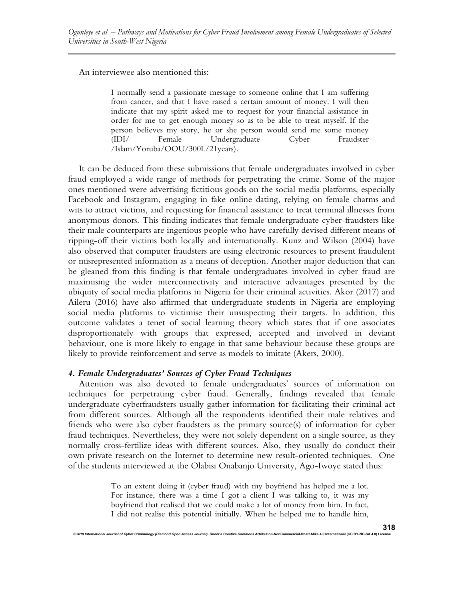An interviewee also mentioned this:

I normally send a passionate message to someone online that I am suffering from cancer, and that I have raised a certain amount of money. I will then indicate that my spirit asked me to request for your financial assistance in order for me to get enough money so as to be able to treat myself. If the person believes my story, he or she person would send me some money (IDI/ Female Undergraduate Cyber Fraudster /Islam/Yoruba/OOU/300L/21years).

It can be deduced from these submissions that female undergraduates involved in cyber fraud employed a wide range of methods for perpetrating the crime. Some of the major ones mentioned were advertising fictitious goods on the social media platforms, especially Facebook and Instagram, engaging in fake online dating, relying on female charms and wits to attract victims, and requesting for financial assistance to treat terminal illnesses from anonymous donors. This finding indicates that female undergraduate cyber-fraudsters like their male counterparts are ingenious people who have carefully devised different means of ripping-off their victims both locally and internationally. Kunz and Wilson (2004) have also observed that computer fraudsters are using electronic resources to present fraudulent or misrepresented information as a means of deception. Another major deduction that can be gleaned from this finding is that female undergraduates involved in cyber fraud are maximising the wider interconnectivity and interactive advantages presented by the ubiquity of social media platforms in Nigeria for their criminal activities. Akor (2017) and Aileru (2016) have also affirmed that undergraduate students in Nigeria are employing social media platforms to victimise their unsuspecting their targets. In addition, this outcome validates a tenet of social learning theory which states that if one associates disproportionately with groups that expressed, accepted and involved in deviant behaviour, one is more likely to engage in that same behaviour because these groups are likely to provide reinforcement and serve as models to imitate (Akers, 2000).

## 4. Female Undergraduates' Sources of Cyber Fraud Techniques

Attention was also devoted to female undergraduates' sources of information on techniques for perpetrating cyber fraud. Generally, findings revealed that female undergraduate cyberfraudsters usually gather information for facilitating their criminal act from different sources. Although all the respondents identified their male relatives and friends who were also cyber fraudsters as the primary source(s) of information for cyber fraud techniques. Nevertheless, they were not solely dependent on a single source, as they normally cross-fertilize ideas with different sources. Also, they usually do conduct their own private research on the Internet to determine new result-oriented techniques. One of the students interviewed at the Olabisi Onabanjo University, Ago-Iwoye stated thus:

> To an extent doing it (cyber fraud) with my boyfriend has helped me a lot. For instance, there was a time I got a client I was talking to, it was my boyfriend that realised that we could make a lot of money from him. In fact, I did not realise this potential initially. When he helped me to handle him,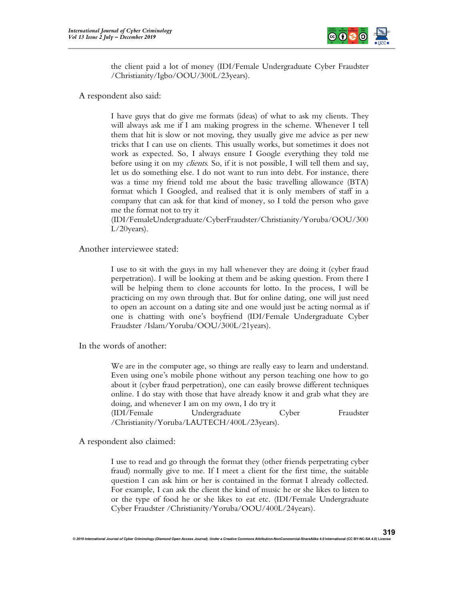

the client paid a lot of money (IDI/Female Undergraduate Cyber Fraudster /Christianity/Igbo/OOU/300L/23years).

A respondent also said:

I have guys that do give me formats (ideas) of what to ask my clients. They will always ask me if I am making progress in the scheme. Whenever I tell them that hit is slow or not moving, they usually give me advice as per new tricks that I can use on clients. This usually works, but sometimes it does not work as expected. So, I always ensure I Google everything they told me before using it on my *clients*. So, if it is not possible, I will tell them and say, let us do something else. I do not want to run into debt. For instance, there was a time my friend told me about the basic travelling allowance (BTA) format which I Googled, and realised that it is only members of staff in a company that can ask for that kind of money, so I told the person who gave me the format not to try it

(IDI/FemaleUndergraduate/CyberFraudster/Christianity/Yoruba/OOU/300 L/20years).

Another interviewee stated:

I use to sit with the guys in my hall whenever they are doing it (cyber fraud perpetration). I will be looking at them and be asking question. From there I will be helping them to clone accounts for lotto. In the process, I will be practicing on my own through that. But for online dating, one will just need to open an account on a dating site and one would just be acting normal as if one is chatting with one's boyfriend (IDI/Female Undergraduate Cyber Fraudster /Islam/Yoruba/OOU/300L/21years).

In the words of another:

We are in the computer age, so things are really easy to learn and understand. Even using one's mobile phone without any person teaching one how to go about it (cyber fraud perpetration), one can easily browse different techniques online. I do stay with those that have already know it and grab what they are doing, and whenever I am on my own, I do try it (IDI/Female Undergraduate Cyber Fraudster

/Christianity/Yoruba/LAUTECH/400L/23years).

A respondent also claimed:

I use to read and go through the format they (other friends perpetrating cyber fraud) normally give to me. If I meet a client for the first time, the suitable question I can ask him or her is contained in the format I already collected. For example, I can ask the client the kind of music he or she likes to listen to or the type of food he or she likes to eat etc. (IDI/Female Undergraduate Cyber Fraudster /Christianity/Yoruba/OOU/400L/24years).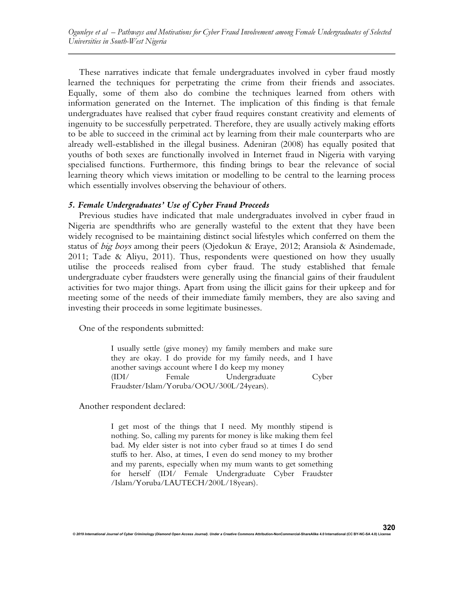These narratives indicate that female undergraduates involved in cyber fraud mostly learned the techniques for perpetrating the crime from their friends and associates. Equally, some of them also do combine the techniques learned from others with information generated on the Internet. The implication of this finding is that female undergraduates have realised that cyber fraud requires constant creativity and elements of ingenuity to be successfully perpetrated. Therefore, they are usually actively making efforts to be able to succeed in the criminal act by learning from their male counterparts who are already well-established in the illegal business. Adeniran (2008) has equally posited that youths of both sexes are functionally involved in Internet fraud in Nigeria with varying specialised functions. Furthermore, this finding brings to bear the relevance of social learning theory which views imitation or modelling to be central to the learning process which essentially involves observing the behaviour of others.

#### 5. Female Undergraduates' Use of Cyber Fraud Proceeds

Previous studies have indicated that male undergraduates involved in cyber fraud in Nigeria are spendthrifts who are generally wasteful to the extent that they have been widely recognised to be maintaining distinct social lifestyles which conferred on them the status of big boys among their peers (Ojedokun & Eraye, 2012; Aransiola & Asindemade, 2011; Tade & Aliyu, 2011). Thus, respondents were questioned on how they usually utilise the proceeds realised from cyber fraud. The study established that female undergraduate cyber fraudsters were generally using the financial gains of their fraudulent activities for two major things. Apart from using the illicit gains for their upkeep and for meeting some of the needs of their immediate family members, they are also saving and investing their proceeds in some legitimate businesses.

One of the respondents submitted:

I usually settle (give money) my family members and make sure they are okay. I do provide for my family needs, and I have another savings account where I do keep my money (IDI/ Female Undergraduate Cyber Fraudster/Islam/Yoruba/OOU/300L/24years).

Another respondent declared:

I get most of the things that I need. My monthly stipend is nothing. So, calling my parents for money is like making them feel bad. My elder sister is not into cyber fraud so at times I do send stuffs to her. Also, at times, I even do send money to my brother and my parents, especially when my mum wants to get something for herself (IDI/ Female Undergraduate Cyber Fraudster /Islam/Yoruba/LAUTECH/200L/18years).

© 2019 International Journal of Cyber Criminology (Diamond Open Access Journal). Under a Creative Commons Attribution-NonCommercial-ShareAlike 4.0 International (CC BY-NC-SA 4.0) L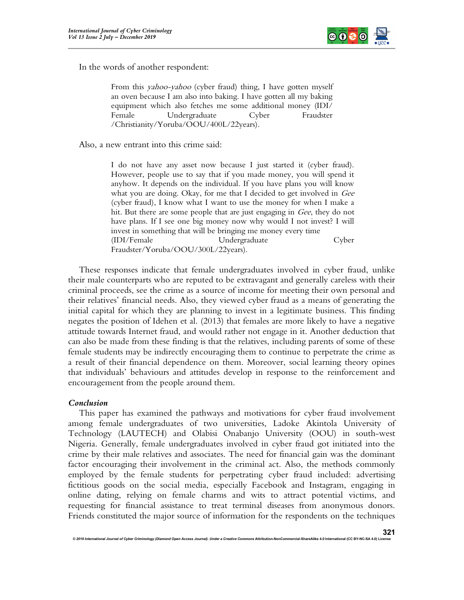

In the words of another respondent:

From this *yahoo-yahoo* (cyber fraud) thing, I have gotten myself an oven because I am also into baking. I have gotten all my baking equipment which also fetches me some additional money (IDI/ Female Undergraduate Cyber Fraudster /Christianity/Yoruba/OOU/400L/22years).

Also, a new entrant into this crime said:

I do not have any asset now because I just started it (cyber fraud). However, people use to say that if you made money, you will spend it anyhow. It depends on the individual. If you have plans you will know what you are doing. Okay, for me that I decided to get involved in Gee (cyber fraud), I know what I want to use the money for when I make a hit. But there are some people that are just engaging in Gee, they do not have plans. If I see one big money now why would I not invest? I will invest in something that will be bringing me money every time (IDI/Female Undergraduate Cyber Fraudster/Yoruba/OOU/300L/22years).

These responses indicate that female undergraduates involved in cyber fraud, unlike their male counterparts who are reputed to be extravagant and generally careless with their criminal proceeds, see the crime as a source of income for meeting their own personal and their relatives' financial needs. Also, they viewed cyber fraud as a means of generating the initial capital for which they are planning to invest in a legitimate business. This finding negates the position of Idehen et al. (2013) that females are more likely to have a negative attitude towards Internet fraud, and would rather not engage in it. Another deduction that can also be made from these finding is that the relatives, including parents of some of these female students may be indirectly encouraging them to continue to perpetrate the crime as a result of their financial dependence on them. Moreover, social learning theory opines that individuals' behaviours and attitudes develop in response to the reinforcement and encouragement from the people around them.

## Conclusion

This paper has examined the pathways and motivations for cyber fraud involvement among female undergraduates of two universities, Ladoke Akintola University of Technology (LAUTECH) and Olabisi Onabanjo University (OOU) in south-west Nigeria. Generally, female undergraduates involved in cyber fraud got initiated into the crime by their male relatives and associates. The need for financial gain was the dominant factor encouraging their involvement in the criminal act. Also, the methods commonly employed by the female students for perpetrating cyber fraud included: advertising fictitious goods on the social media, especially Facebook and Instagram, engaging in online dating, relying on female charms and wits to attract potential victims, and requesting for financial assistance to treat terminal diseases from anonymous donors. Friends constituted the major source of information for the respondents on the techniques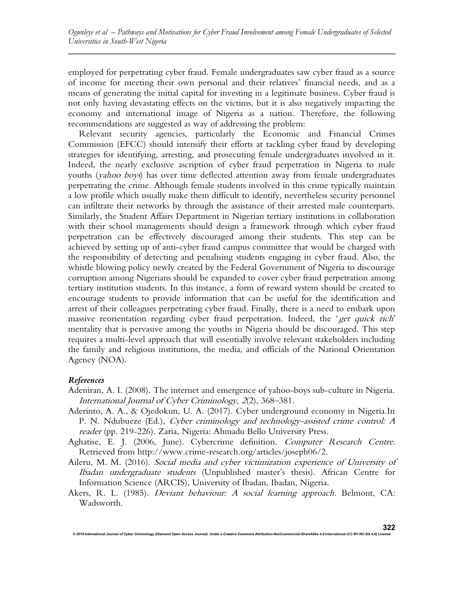employed for perpetrating cyber fraud. Female undergraduates saw cyber fraud as a source of income for meeting their own personal and their relatives' financial needs, and as a means of generating the initial capital for investing in a legitimate business. Cyber fraud is not only having devastating effects on the victims, but it is also negatively impacting the economy and international image of Nigeria as a nation. Therefore, the following recommendations are suggested as way of addressing the problem:

Relevant security agencies, particularly the Economic and Financial Crimes Commission (EFCC) should intensify their efforts at tackling cyber fraud by developing strategies for identifying, arresting, and prosecuting female undergraduates involved in it. Indeed, the nearly exclusive ascription of cyber fraud perpetration in Nigeria to male youths (*yahoo boys*) has over time deflected attention away from female undergraduates perpetrating the crime. Although female students involved in this crime typically maintain a low profile which usually make them difficult to identify, nevertheless security personnel can infiltrate their networks by through the assistance of their arrested male counterparts. Similarly, the Student Affairs Department in Nigerian tertiary institutions in collaboration with their school managements should design a framework through which cyber fraud perpetration can be effectively discouraged among their students. This step can be achieved by setting up of anti-cyber fraud campus committee that would be charged with the responsibility of detecting and penalising students engaging in cyber fraud. Also, the whistle blowing policy newly created by the Federal Government of Nigeria to discourage corruption among Nigerians should be expanded to cover cyber fraud perpetration among tertiary institution students. In this instance, a form of reward system should be created to encourage students to provide information that can be useful for the identification and arrest of their colleagues perpetrating cyber fraud. Finally, there is a need to embark upon massive reorientation regarding cyber fraud perpetration. Indeed, the 'get quick rich' mentality that is pervasive among the youths in Nigeria should be discouraged. This step requires a multi-level approach that will essentially involve relevant stakeholders including the family and religious institutions, the media, and officials of the National Orientation Agency (NOA).

## References

- Adeniran, A. I. (2008). The internet and emergence of yahoo-boys sub-culture in Nigeria. International Journal of Cyber Criminology, 2(2), 368–381.
- Aderinto, A. A., & Ojedokun, U. A. (2017). Cyber underground economy in Nigeria.In P. N. Ndubueze (Ed.), Cyber criminology and technology-assisted crime control: A reader (pp. 219-226). Zaria, Nigeria: Ahmadu Bello University Press.
- Aghatise, E. J. (2006, June). Cybercrime definition. Computer Research Centre. Retrieved from http://www.crime-research.org/articles/joseph06/2.
- Aileru, M. M. (2016). Social media and cyber victimization experience of University of Ibadan undergraduate students (Unpublished master's thesis). African Centre for Information Science (ARCIS), University of Ibadan, Ibadan, Nigeria.
- Akers, R. L. (1985). *Deviant behaviour: A social learning approach*. Belmont, CA: Wadsworth.

© 2019 International Journal of Cyber Criminology (Diamond Open Access Journal). Under a Creative Commons Attribution-NonCommercial-ShareAlike 4.0 International (CC BY-NC-SA 4.0) L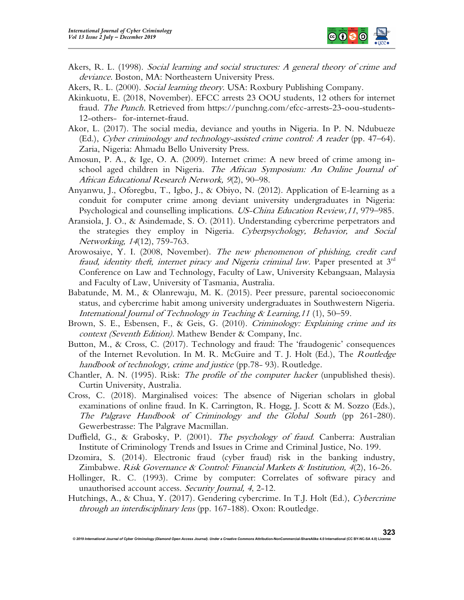

- Akers, R. L. (1998). Social learning and social structures: A general theory of crime and deviance. Boston, MA: Northeastern University Press.
- Akers, R. L. (2000). Social learning theory. USA: Roxbury Publishing Company.
- Akinkuotu, E. (2018, November). EFCC arrests 23 OOU students, 12 others for internet fraud. The Punch. Retrieved from https://punchng.com/efcc-arrests-23-oou-students-12-others- for-internet-fraud.
- Akor, L. (2017). The social media, deviance and youths in Nigeria. In P. N. Ndubueze (Ed.), Cyber criminology and technology-assisted crime control: A reader (pp. 47–64). Zaria, Nigeria: Ahmadu Bello University Press.
- Amosun, P. A., & Ige, O. A. (2009). Internet crime: A new breed of crime among inschool aged children in Nigeria. The African Symposium: An Online Journal of African Educational Research Network, 9(2), 90–98.
- Anyanwu, J., Oforegbu, T., Igbo, J., & Obiyo, N. (2012). Application of E-learning as a conduit for computer crime among deviant university undergraduates in Nigeria: Psychological and counselling implications. US-China Education Review,11, 979–985.
- Aransiola, J. O., & Asindemade, S. O. (2011). Understanding cybercrime perpetrators and the strategies they employ in Nigeria. Cyberpsychology, Behavior, and Social Networking, 14(12), 759-763.
- Arowosaiye, Y. I. (2008, November). The new phenomenon of phishing, credit card fraud, identity theft, internet piracy and Nigeria criminal law. Paper presented at  $3<sup>rd</sup>$ Conference on Law and Technology, Faculty of Law, University Kebangsaan, Malaysia and Faculty of Law, University of Tasmania, Australia.
- Babatunde, M. M., & Olanrewaju, M. K. (2015). Peer pressure, parental socioeconomic status, and cybercrime habit among university undergraduates in Southwestern Nigeria. International Journal of Technology in Teaching & Learning,11 (1), 50–59.
- Brown, S. E., Esbensen, F., & Geis, G. (2010). Criminology: Explaining crime and its context (Seventh Edition). Mathew Bender & Company, Inc.
- Button, M., & Cross, C. (2017). Technology and fraud: The 'fraudogenic' consequences of the Internet Revolution. In M. R. McGuire and T. J. Holt (Ed.), The Routledge handbook of technology, crime and justice (pp.78- 93). Routledge.
- Chantler, A. N. (1995). Risk: The profile of the computer hacker (unpublished thesis). Curtin University, Australia.
- Cross, C. (2018). Marginalised voices: The absence of Nigerian scholars in global examinations of online fraud. In K. Carrington, R. Hogg, J. Scott & M. Sozzo (Eds.), The Palgrave Handbook of Criminology and the Global South (pp 261-280). Gewerbestrasse: The Palgrave Macmillan.
- Duffield, G., & Grabosky, P. (2001). The psychology of fraud. Canberra: Australian Institute of Criminology Trends and Issues in Crime and Criminal Justice, No. 199.
- Dzomira, S. (2014). Electronic fraud (cyber fraud) risk in the banking industry, Zimbabwe. Risk Governance & Control: Financial Markets & Institution, 4(2), 16-26.
- Hollinger, R. C. (1993). Crime by computer: Correlates of software piracy and unauthorised account access. Security Journal, 4, 2-12.
- Hutchings, A., & Chua, Y. (2017). Gendering cybercrime. In T.J. Holt (Ed.), Cybercrime through an interdisciplinary lens (pp. 167-188). Oxon: Routledge.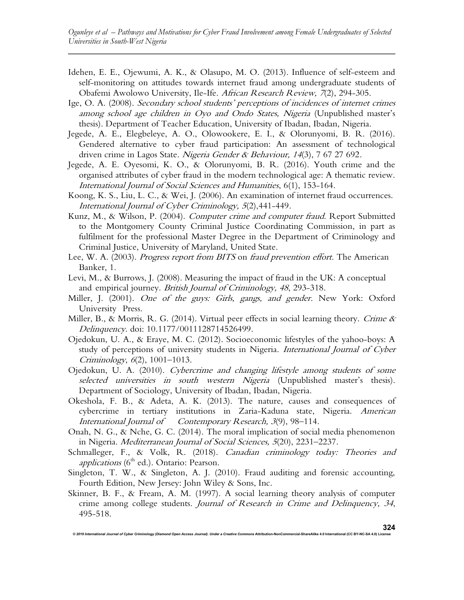- Idehen, E. E., Ojewumi, A. K., & Olasupo, M. O. (2013). Influence of self-esteem and self-monitoring on attitudes towards internet fraud among undergraduate students of Obafemi Awolowo University, Ile-Ife. African Research Review, 7(2), 294-305.
- Ige, O. A. (2008). Secondary school students' perceptions of incidences of internet crimes among school age children in Oyo and Ondo States, Nigeria (Unpublished master's thesis). Department of Teacher Education, University of Ibadan, Ibadan, Nigeria.
- Jegede, A. E., Elegbeleye, A. O., Olowookere, E. I., & Olorunyomi, B. R. (2016). Gendered alternative to cyber fraud participation: An assessment of technological driven crime in Lagos State. Nigeria Gender & Behaviour, 14(3), 7 67 27 692.
- Jegede, A. E. Oyesomi, K. O., & Olorunyomi, B. R. (2016). Youth crime and the organised attributes of cyber fraud in the modern technological age: A thematic review. International Journal of Social Sciences and Humanities, 6(1), 153-164.
- Koong, K. S., Liu, L. C., & Wei, J. (2006). An examination of internet fraud occurrences. International Journal of Cyber Criminology, 5(2),441-449.
- Kunz, M., & Wilson, P. (2004). Computer crime and computer fraud. Report Submitted to the Montgomery County Criminal Justice Coordinating Commission, in part as fulfilment for the professional Master Degree in the Department of Criminology and Criminal Justice, University of Maryland, United State.
- Lee, W. A. (2003). Progress report from BITS on fraud prevention effort. The American Banker, 1.
- Levi, M., & Burrows, J. (2008). Measuring the impact of fraud in the UK: A conceptual and empirical journey. British Journal of Criminology, 48, 293-318.
- Miller, J. (2001). One of the guys: Girls, gangs, and gender. New York: Oxford University Press.
- Miller, B., & Morris, R. G. (2014). Virtual peer effects in social learning theory. Crime  $\&$ Delinquency. doi: 10.1177/0011128714526499.
- Ojedokun, U. A., & Eraye, M. C. (2012). Socioeconomic lifestyles of the yahoo-boys: A study of perceptions of university students in Nigeria. International Journal of Cyber Criminology, 6(2), 1001–1013.
- Ojedokun, U. A. (2010). Cybercrime and changing lifestyle among students of some selected universities in south western Nigeria (Unpublished master's thesis). Department of Sociology, University of Ibadan, Ibadan, Nigeria.
- Okeshola, F. B., & Adeta, A. K. (2013). The nature, causes and consequences of cybercrime in tertiary institutions in Zaria-Kaduna state, Nigeria. American International Journal of Contemporary Research, 3(9), 98–114.
- Onah, N. G., & Nche, G. C. (2014). The moral implication of social media phenomenon in Nigeria. Mediterranean Journal of Social Sciences, 5(20), 2231–2237.
- Schmalleger, F., & Volk, R. (2018). Canadian criminology today: Theories and applications ( $6<sup>th</sup>$  ed.). Ontario: Pearson.
- Singleton, T. W., & Singleton, A. J. (2010). Fraud auditing and forensic accounting, Fourth Edition, New Jersey: John Wiley & Sons, Inc.
- Skinner, B. F., & Fream, A. M. (1997). A social learning theory analysis of computer crime among college students. Journal of Research in Crime and Delinquency, 34, 495-518.

© 2019 International Journal of Cyber Criminology (Diamond Open Access Journal). Under a Creative Com

324